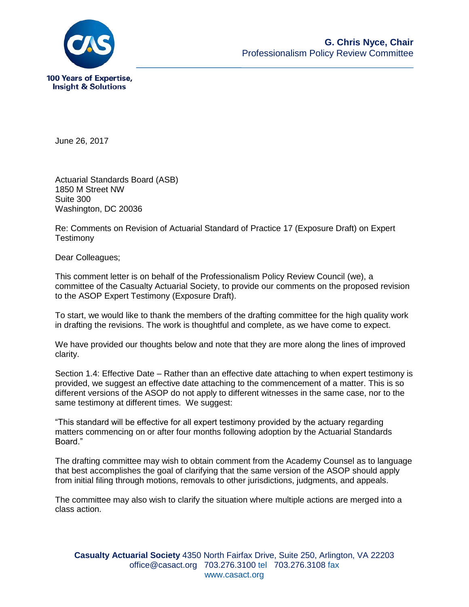

June 26, 2017

Actuarial Standards Board (ASB) 1850 M Street NW Suite 300 Washington, DC 20036

Re: Comments on Revision of Actuarial Standard of Practice 17 (Exposure Draft) on Expert **Testimony** 

Dear Colleagues;

This comment letter is on behalf of the Professionalism Policy Review Council (we), a committee of the Casualty Actuarial Society, to provide our comments on the proposed revision to the ASOP Expert Testimony (Exposure Draft).

To start, we would like to thank the members of the drafting committee for the high quality work in drafting the revisions. The work is thoughtful and complete, as we have come to expect.

We have provided our thoughts below and note that they are more along the lines of improved clarity.

Section 1.4: Effective Date – Rather than an effective date attaching to when expert testimony is provided, we suggest an effective date attaching to the commencement of a matter. This is so different versions of the ASOP do not apply to different witnesses in the same case, nor to the same testimony at different times. We suggest:

"This standard will be effective for all expert testimony provided by the actuary regarding matters commencing on or after four months following adoption by the Actuarial Standards Board."

The drafting committee may wish to obtain comment from the Academy Counsel as to language that best accomplishes the goal of clarifying that the same version of the ASOP should apply from initial filing through motions, removals to other jurisdictions, judgments, and appeals.

The committee may also wish to clarify the situation where multiple actions are merged into a class action.

**Casualty Actuarial Society** 4350 North Fairfax Drive, Suite 250, Arlington, VA 22203 office@casact.org 703.276.3100 tel 703.276.3108 fax www.casact.org